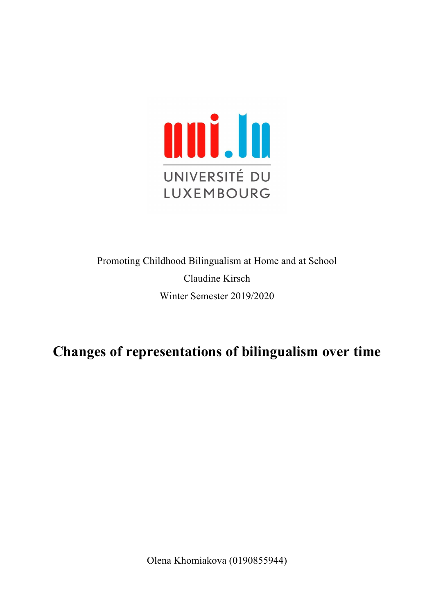

Promoting Childhood Bilingualism at Home and at School Claudine Kirsch Winter Semester 2019/2020

# **Changes of representations of bilingualism over time**

Olena Khomiakova (0190855944)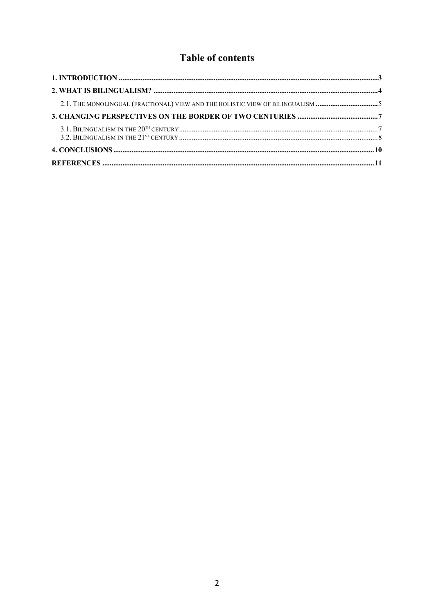## **Table of contents**

| 2.1. THE MONOLINGUAL (FRACTIONAL) VIEW AND THE HOLISTIC VIEW OF BILINGUALISM 5 |  |
|--------------------------------------------------------------------------------|--|
|                                                                                |  |
|                                                                                |  |
|                                                                                |  |
|                                                                                |  |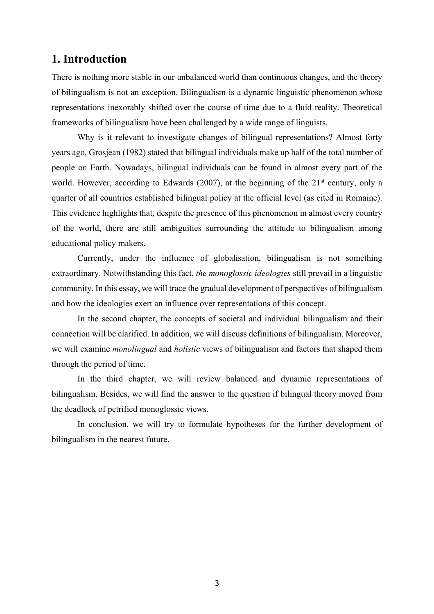## **1. Introduction**

There is nothing more stable in our unbalanced world than continuous changes, and the theory of bilingualism is not an exception. Bilingualism is a dynamic linguistic phenomenon whose representations inexorably shifted over the course of time due to a fluid reality. Theoretical frameworks of bilingualism have been challenged by a wide range of linguists.

Why is it relevant to investigate changes of bilingual representations? Almost forty years ago, Grosjean (1982) stated that bilingual individuals make up half of the total number of people on Earth. Nowadays, bilingual individuals can be found in almost every part of the world. However, according to Edwards (2007), at the beginning of the  $21<sup>st</sup>$  century, only a quarter of all countries established bilingual policy at the official level (as cited in Romaine). This evidence highlights that, despite the presence of this phenomenon in almost every country of the world, there are still ambiguities surrounding the attitude to bilingualism among educational policy makers.

Currently, under the influence of globalisation, bilingualism is not something extraordinary. Notwithstanding this fact, *the monoglossic ideologies* still prevail in a linguistic community. In this essay, we will trace the gradual development of perspectives of bilingualism and how the ideologies exert an influence over representations of this concept.

In the second chapter, the concepts of societal and individual bilingualism and their connection will be clarified. In addition, we will discuss definitions of bilingualism. Moreover, we will examine *monolingual* and *holistic* views of bilingualism and factors that shaped them through the period of time.

In the third chapter, we will review balanced and dynamic representations of bilingualism. Besides, we will find the answer to the question if bilingual theory moved from the deadlock of petrified monoglossic views.

In conclusion, we will try to formulate hypotheses for the further development of bilingualism in the nearest future.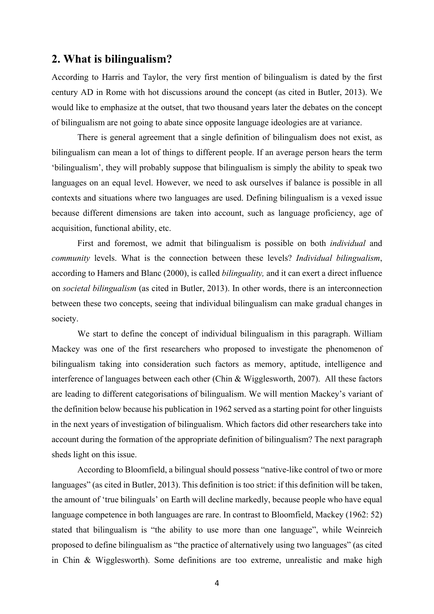## **2. What is bilingualism?**

According to Harris and Taylor, the very first mention of bilingualism is dated by the first century AD in Rome with hot discussions around the concept (as cited in Butler, 2013). We would like to emphasize at the outset, that two thousand years later the debates on the concept of bilingualism are not going to abate since opposite language ideologies are at variance.

There is general agreement that a single definition of bilingualism does not exist, as bilingualism can mean a lot of things to different people. If an average person hears the term 'bilingualism', they will probably suppose that bilingualism is simply the ability to speak two languages on an equal level. However, we need to ask ourselves if balance is possible in all contexts and situations where two languages are used. Defining bilingualism is a vexed issue because different dimensions are taken into account, such as language proficiency, age of acquisition, functional ability, etc.

First and foremost, we admit that bilingualism is possible on both *individual* and *community* levels. What is the connection between these levels? *Individual bilingualism*, according to Hamers and Blanc (2000), is called *bilinguality,* and it can exert a direct influence on *societal bilingualism* (as cited in Butler, 2013). In other words, there is an interconnection between these two concepts, seeing that individual bilingualism can make gradual changes in society.

We start to define the concept of individual bilingualism in this paragraph. William Mackey was one of the first researchers who proposed to investigate the phenomenon of bilingualism taking into consideration such factors as memory, aptitude, intelligence and interference of languages between each other (Chin & Wigglesworth, 2007). All these factors are leading to different categorisations of bilingualism. We will mention Mackey's variant of the definition below because his publication in 1962 served as a starting point for other linguists in the next years of investigation of bilingualism. Which factors did other researchers take into account during the formation of the appropriate definition of bilingualism? The next paragraph sheds light on this issue.

According to Bloomfield, a bilingual should possess "native-like control of two or more languages" (as cited in Butler, 2013). This definition is too strict: if this definition will be taken, the amount of 'true bilinguals' on Earth will decline markedly, because people who have equal language competence in both languages are rare. In contrast to Bloomfield, Mackey (1962: 52) stated that bilingualism is "the ability to use more than one language", while Weinreich proposed to define bilingualism as "the practice of alternatively using two languages" (as cited in Chin & Wigglesworth). Some definitions are too extreme, unrealistic and make high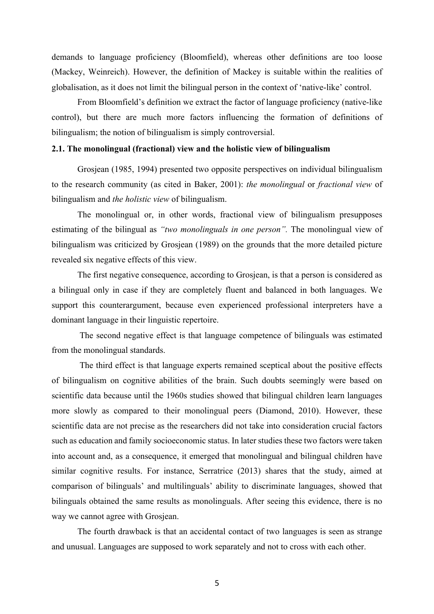demands to language proficiency (Bloomfield), whereas other definitions are too loose (Mackey, Weinreich). However, the definition of Mackey is suitable within the realities of globalisation, as it does not limit the bilingual person in the context of 'native-like' control.

From Bloomfield's definition we extract the factor of language proficiency (native-like control), but there are much more factors influencing the formation of definitions of bilingualism; the notion of bilingualism is simply controversial.

#### **2.1. The monolingual (fractional) view and the holistic view of bilingualism**

Grosjean (1985, 1994) presented two opposite perspectives on individual bilingualism to the research community (as cited in Baker, 2001): *the monolingual* or *fractional view* of bilingualism and *the holistic view* of bilingualism.

The monolingual or, in other words, fractional view of bilingualism presupposes estimating of the bilingual as *"two monolinguals in one person".* The monolingual view of bilingualism was criticized by Grosjean (1989) on the grounds that the more detailed picture revealed six negative effects of this view.

The first negative consequence, according to Grosjean, is that a person is considered as a bilingual only in case if they are completely fluent and balanced in both languages. We support this counterargument, because even experienced professional interpreters have a dominant language in their linguistic repertoire.

The second negative effect is that language competence of bilinguals was estimated from the monolingual standards.

The third effect is that language experts remained sceptical about the positive effects of bilingualism on cognitive abilities of the brain. Such doubts seemingly were based on scientific data because until the 1960s studies showed that bilingual children learn languages more slowly as compared to their monolingual peers (Diamond, 2010). However, these scientific data are not precise as the researchers did not take into consideration crucial factors such as education and family socioeconomic status. In later studies these two factors were taken into account and, as a consequence, it emerged that monolingual and bilingual children have similar cognitive results. For instance, Serratrice (2013) shares that the study, aimed at comparison of bilinguals' and multilinguals' ability to discriminate languages, showed that bilinguals obtained the same results as monolinguals. After seeing this evidence, there is no way we cannot agree with Grosjean.

The fourth drawback is that an accidental contact of two languages is seen as strange and unusual. Languages are supposed to work separately and not to cross with each other.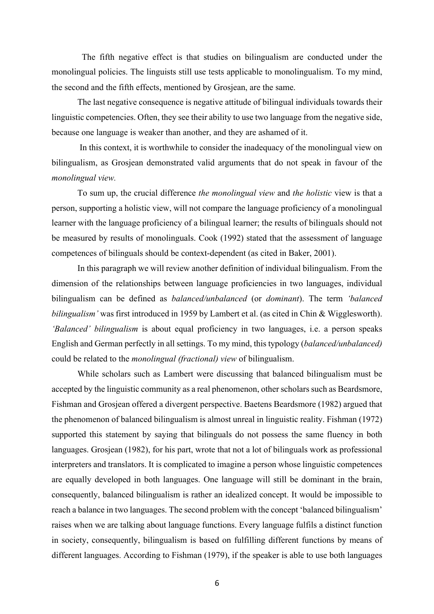The fifth negative effect is that studies on bilingualism are conducted under the monolingual policies. The linguists still use tests applicable to monolingualism. To my mind, the second and the fifth effects, mentioned by Grosjean, are the same.

The last negative consequence is negative attitude of bilingual individuals towards their linguistic competencies. Often, they see their ability to use two language from the negative side, because one language is weaker than another, and they are ashamed of it.

In this context, it is worthwhile to consider the inadequacy of the monolingual view on bilingualism, as Grosjean demonstrated valid arguments that do not speak in favour of the *monolingual view.*

To sum up, the crucial difference *the monolingual view* and *the holistic* view is that a person, supporting a holistic view, will not compare the language proficiency of a monolingual learner with the language proficiency of a bilingual learner; the results of bilinguals should not be measured by results of monolinguals. Cook (1992) stated that the assessment of language competences of bilinguals should be context-dependent (as cited in Baker, 2001).

In this paragraph we will review another definition of individual bilingualism. From the dimension of the relationships between language proficiencies in two languages, individual bilingualism can be defined as *balanced/unbalanced* (or *dominant*). The term *'balanced bilingualism'* was first introduced in 1959 by Lambert et al. (as cited in Chin & Wigglesworth). *'Balanced' bilingualism* is about equal proficiency in two languages, i.e. a person speaks English and German perfectly in all settings. To my mind, this typology (*balanced/unbalanced)* could be related to the *monolingual (fractional) view* of bilingualism.

While scholars such as Lambert were discussing that balanced bilingualism must be accepted by the linguistic community as a real phenomenon, other scholars such as Beardsmore, Fishman and Grosjean offered a divergent perspective. Baetens Beardsmore (1982) argued that the phenomenon of balanced bilingualism is almost unreal in linguistic reality. Fishman (1972) supported this statement by saying that bilinguals do not possess the same fluency in both languages. Grosjean (1982), for his part, wrote that not a lot of bilinguals work as professional interpreters and translators. It is complicated to imagine a person whose linguistic competences are equally developed in both languages. One language will still be dominant in the brain, consequently, balanced bilingualism is rather an idealized concept. It would be impossible to reach a balance in two languages. The second problem with the concept 'balanced bilingualism' raises when we are talking about language functions. Every language fulfils a distinct function in society, consequently, bilingualism is based on fulfilling different functions by means of different languages. According to Fishman (1979), if the speaker is able to use both languages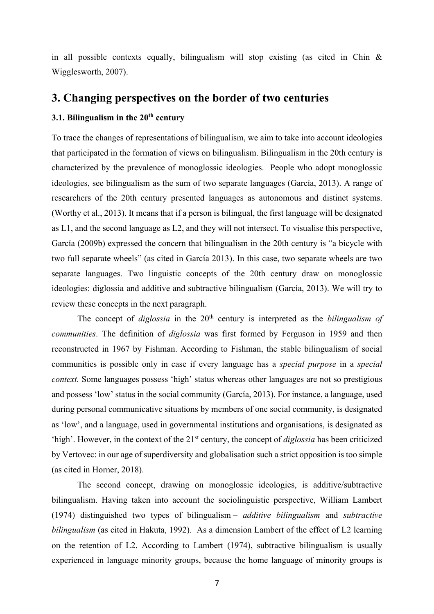in all possible contexts equally, bilingualism will stop existing (as cited in Chin & Wigglesworth, 2007).

## **3. Changing perspectives on the border of two centuries**

#### **3.1. Bilingualism in the 20th century**

To trace the changes of representations of bilingualism, we aim to take into account ideologies that participated in the formation of views on bilingualism. Bilingualism in the 20th century is characterized by the prevalence of monoglossic ideologies. People who adopt monoglossic ideologies, see bilingualism as the sum of two separate languages (García, 2013). A range of researchers of the 20th century presented languages as autonomous and distinct systems. (Worthy et al., 2013). It means that if a person is bilingual, the first language will be designated as L1, and the second language as L2, and they will not intersect. To visualise this perspective, García (2009b) expressed the concern that bilingualism in the 20th century is "a bicycle with two full separate wheels" (as cited in García 2013). In this case, two separate wheels are two separate languages. Two linguistic concepts of the 20th century draw on monoglossic ideologies: diglossia and additive and subtractive bilingualism (García, 2013). We will try to review these concepts in the next paragraph.

The concept of *diglossia* in the 20<sup>th</sup> century is interpreted as the *bilingualism of communities*. The definition of *diglossia* was first formed by Ferguson in 1959 and then reconstructed in 1967 by Fishman. According to Fishman, the stable bilingualism of social communities is possible only in case if every language has a *special purpose* in a *special context.* Some languages possess 'high' status whereas other languages are not so prestigious and possess 'low' status in the social community (García, 2013). For instance, a language, used during personal communicative situations by members of one social community, is designated as 'low', and a language, used in governmental institutions and organisations, is designated as 'high'. However, in the context of the 21st century, the concept of *diglossia* has been criticized by Vertovec: in our age of superdiversity and globalisation such a strict opposition is too simple (as cited in Horner, 2018).

The second concept, drawing on monoglossic ideologies, is additive/subtractive bilingualism. Having taken into account the sociolinguistic perspective, William Lambert (1974) distinguished two types of bilingualism – *additive bilingualism* and *subtractive bilingualism* (as cited in Hakuta, 1992). As a dimension Lambert of the effect of L2 learning on the retention of L2. According to Lambert (1974), subtractive bilingualism is usually experienced in language minority groups, because the home language of minority groups is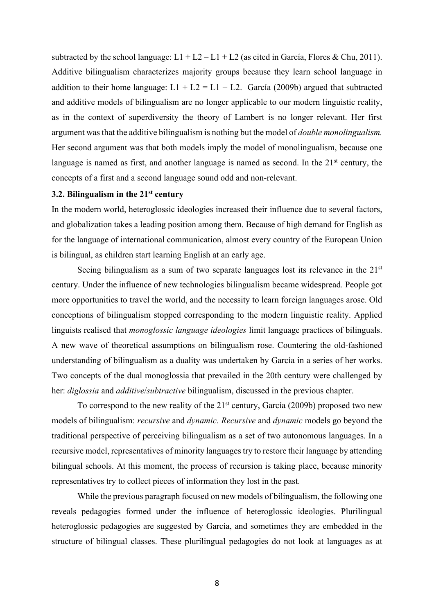subtracted by the school language:  $L1 + L2 - L1 + L2$  (as cited in García, Flores & Chu, 2011). Additive bilingualism characterizes majority groups because they learn school language in addition to their home language:  $L1 + L2 = L1 + L2$ . García (2009b) argued that subtracted and additive models of bilingualism are no longer applicable to our modern linguistic reality, as in the context of superdiversity the theory of Lambert is no longer relevant. Her first argument was that the additive bilingualism is nothing but the model of *double monolingualism.* Her second argument was that both models imply the model of monolingualism, because one language is named as first, and another language is named as second. In the  $21<sup>st</sup>$  century, the concepts of a first and a second language sound odd and non-relevant.

#### **3.2. Bilingualism in the 21st century**

In the modern world, heteroglossic ideologies increased their influence due to several factors, and globalization takes a leading position among them. Because of high demand for English as for the language of international communication, almost every country of the European Union is bilingual, as children start learning English at an early age.

Seeing bilingualism as a sum of two separate languages lost its relevance in the  $21<sup>st</sup>$ century. Under the influence of new technologies bilingualism became widespread. People got more opportunities to travel the world, and the necessity to learn foreign languages arose. Old conceptions of bilingualism stopped corresponding to the modern linguistic reality. Applied linguists realised that *monoglossic language ideologies* limit language practices of bilinguals. A new wave of theoretical assumptions on bilingualism rose. Countering the old-fashioned understanding of bilingualism as a duality was undertaken by García in a series of her works. Two concepts of the dual monoglossia that prevailed in the 20th century were challenged by her: *diglossia* and *additive*/*subtractive* bilingualism, discussed in the previous chapter.

To correspond to the new reality of the  $21<sup>st</sup>$  century, García (2009b) proposed two new models of bilingualism: *recursive* and *dynamic. Recursive* and *dynamic* models go beyond the traditional perspective of perceiving bilingualism as a set of two autonomous languages. In a recursive model, representatives of minority languages try to restore their language by attending bilingual schools. At this moment, the process of recursion is taking place, because minority representatives try to collect pieces of information they lost in the past.

While the previous paragraph focused on new models of bilingualism, the following one reveals pedagogies formed under the influence of heteroglossic ideologies. Plurilingual heteroglossic pedagogies are suggested by García, and sometimes they are embedded in the structure of bilingual classes. These plurilingual pedagogies do not look at languages as at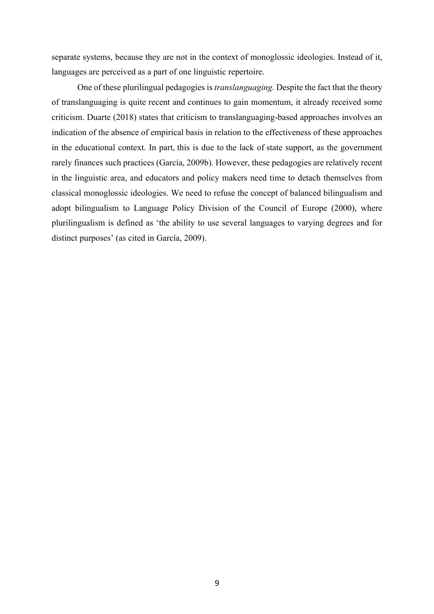separate systems, because they are not in the context of monoglossic ideologies. Instead of it, languages are perceived as a part of one linguistic repertoire.

One of these plurilingual pedagogies is *translanguaging.* Despite the fact that the theory of translanguaging is quite recent and continues to gain momentum, it already received some criticism. Duarte (2018) states that criticism to translanguaging-based approaches involves an indication of the absence of empirical basis in relation to the effectiveness of these approaches in the educational context. In part, this is due to the lack of state support, as the government rarely finances such practices (García, 2009b). However, these pedagogies are relatively recent in the linguistic area, and educators and policy makers need time to detach themselves from classical monoglossic ideologies. We need to refuse the concept of balanced bilingualism and adopt bilingualism to Language Policy Division of the Council of Europe (2000), where plurilingualism is defined as 'the ability to use several languages to varying degrees and for distinct purposes' (as cited in García, 2009).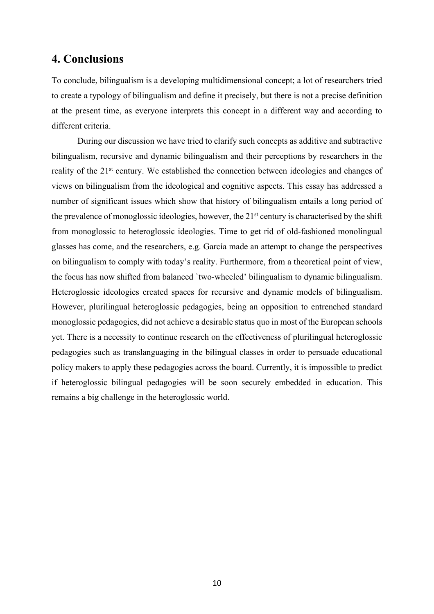## **4. Conclusions**

To conclude, bilingualism is a developing multidimensional concept; a lot of researchers tried to create a typology of bilingualism and define it precisely, but there is not a precise definition at the present time, as everyone interprets this concept in a different way and according to different criteria.

During our discussion we have tried to clarify such concepts as additive and subtractive bilingualism, recursive and dynamic bilingualism and their perceptions by researchers in the reality of the 21<sup>st</sup> century. We established the connection between ideologies and changes of views on bilingualism from the ideological and cognitive aspects. This essay has addressed a number of significant issues which show that history of bilingualism entails a long period of the prevalence of monoglossic ideologies, however, the  $21<sup>st</sup>$  century is characterised by the shift from monoglossic to heteroglossic ideologies. Time to get rid of old-fashioned monolingual glasses has come, and the researchers, e.g. García made an attempt to change the perspectives on bilingualism to comply with today's reality. Furthermore, from a theoretical point of view, the focus has now shifted from balanced `two-wheeled' bilingualism to dynamic bilingualism. Heteroglossic ideologies created spaces for recursive and dynamic models of bilingualism. However, plurilingual heteroglossic pedagogies, being an opposition to entrenched standard monoglossic pedagogies, did not achieve a desirable status quo in most of the European schools yet. There is a necessity to continue research on the effectiveness of plurilingual heteroglossic pedagogies such as translanguaging in the bilingual classes in order to persuade educational policy makers to apply these pedagogies across the board. Currently, it is impossible to predict if heteroglossic bilingual pedagogies will be soon securely embedded in education. This remains a big challenge in the heteroglossic world.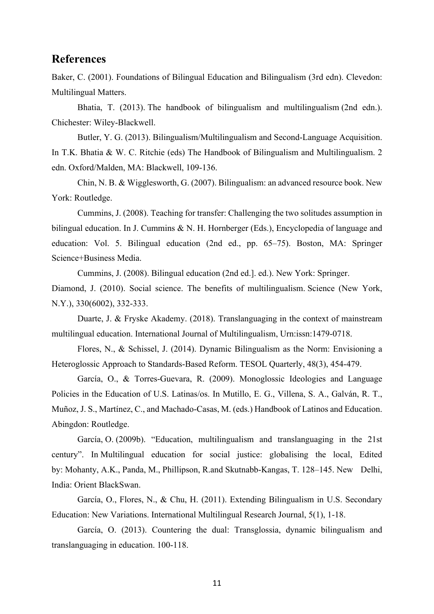#### **References**

Baker, C. (2001). Foundations of Bilingual Education and Bilingualism (3rd edn). Clevedon: Multilingual Matters.

Bhatia, T. (2013). The handbook of bilingualism and multilingualism (2nd edn.). Chichester: Wiley-Blackwell.

Butler, Y. G. (2013). Bilingualism/Multilingualism and Second-Language Acquisition. In T.K. Bhatia & W. C. Ritchie (eds) The Handbook of Bilingualism and Multilingualism. 2 edn. Oxford/Malden, MA: Blackwell, 109-136.

Chin, N. B. & Wigglesworth, G. (2007). Bilingualism: an advanced resource book. New York: Routledge.

Cummins, J. (2008). Teaching for transfer: Challenging the two solitudes assumption in bilingual education. In J. Cummins & N. H. Hornberger (Eds.), Encyclopedia of language and education: Vol. 5. Bilingual education (2nd ed., pp. 65–75). Boston, MA: Springer Science+Business Media.

Cummins, J. (2008). Bilingual education (2nd ed.]. ed.). New York: Springer.

Diamond, J. (2010). Social science. The benefits of multilingualism. Science (New York, N.Y.), 330(6002), 332-333.

Duarte, J. & Fryske Akademy. (2018). Translanguaging in the context of mainstream multilingual education. International Journal of Multilingualism, Urn:issn:1479-0718.

Flores, N., & Schissel, J. (2014). Dynamic Bilingualism as the Norm: Envisioning a Heteroglossic Approach to Standards‐Based Reform. TESOL Quarterly, 48(3), 454-479.

García, O., & Torres-Guevara, R. (2009). Monoglossic Ideologies and Language Policies in the Education of U.S. Latinas/os. In Mutillo, E. G., Villena, S. A., Galván, R. T., Muñoz, J. S., Martínez, C., and Machado-Casas, M. (eds.) Handbook of Latinos and Education. Abingdon: Routledge.

García, O. (2009b). "Education, multilingualism and translanguaging in the 21st century". In Multilingual education for social justice: globalising the local, Edited by: Mohanty, A.K., Panda, M., Phillipson, R.and Skutnabb-Kangas, T. 128–145. New Delhi, India: Orient BlackSwan.

García, O., Flores, N., & Chu, H. (2011). Extending Bilingualism in U.S. Secondary Education: New Variations. International Multilingual Research Journal, 5(1), 1-18.

García, O. (2013). Countering the dual: Transglossia, dynamic bilingualism and translanguaging in education. 100-118.